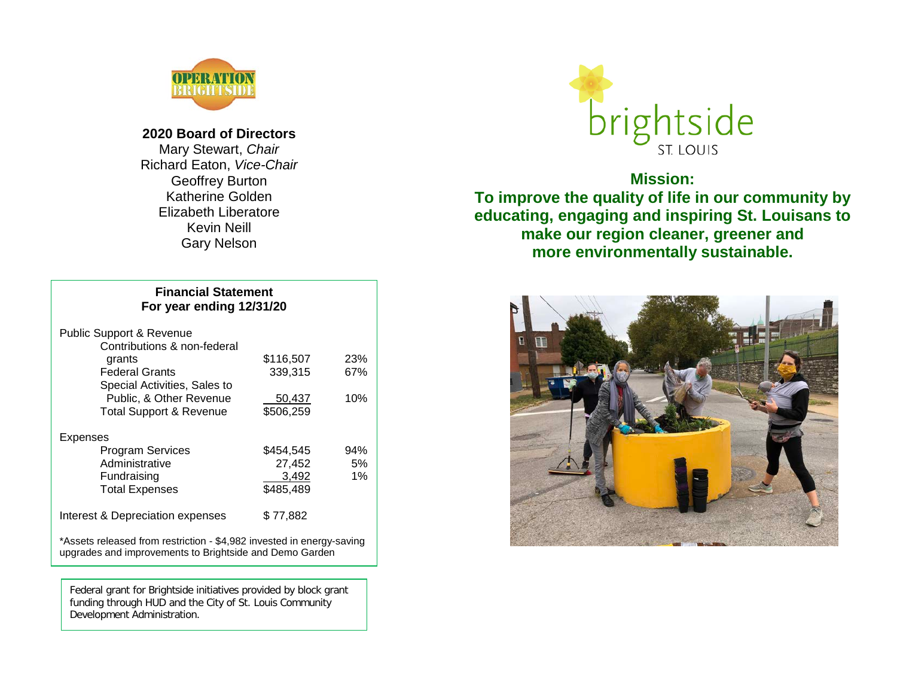

**2020 Board of Directors** Mary Stewart, *Chair* Richard Eaton, *Vice-Chair* Geoffrey Burton Katherine Golden Elizabeth Liberatore Kevin Neill Gary Nelson

### **Financial Statement For year ending 12/31/20**

| <b>Public Support &amp; Revenue</b>                                                                                              |           |     |
|----------------------------------------------------------------------------------------------------------------------------------|-----------|-----|
| Contributions & non-federal                                                                                                      |           |     |
| grants                                                                                                                           | \$116,507 | 23% |
| <b>Federal Grants</b>                                                                                                            | 339,315   | 67% |
| Special Activities, Sales to                                                                                                     |           |     |
| Public, & Other Revenue                                                                                                          | 50,437    | 10% |
| <b>Total Support &amp; Revenue</b>                                                                                               | \$506,259 |     |
| Expenses                                                                                                                         |           |     |
| <b>Program Services</b>                                                                                                          | \$454,545 | 94% |
| Administrative                                                                                                                   | 27,452    | 5%  |
| Fundraising                                                                                                                      | 3,492     | 1%  |
| <b>Total Expenses</b>                                                                                                            | \$485,489 |     |
| Interest & Depreciation expenses                                                                                                 | \$77,882  |     |
| *Assets released from restriction - \$4,982 invested in energy-saving<br>upgrades and improvements to Brightside and Demo Garden |           |     |

 $\overline{a}$ Federal grant for Brightside initiatives provided by block grant funding through HUD and the City of St. Louis Community Development Administration.



# **Mission:**

**To improve the quality of life in our community by educating, engaging and inspiring St. Louisans to make our region cleaner, greener and more environmentally sustainable.**